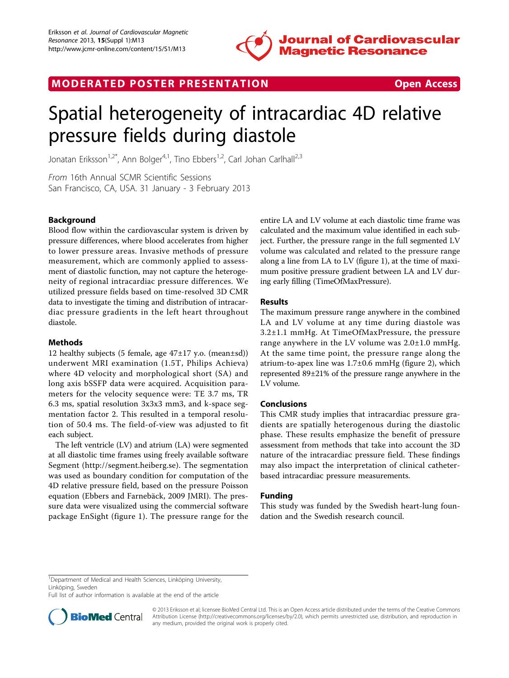

MODERATED POSTER PRESENTATION **SECURE 20 SET ACCESS** 

# Spatial heterogeneity of intracardiac 4D relative pressure fields during diastole

Jonatan Eriksson<sup>1,2\*</sup>, Ann Bolger<sup>4,1</sup>, Tino Ebbers<sup>1,2</sup>, Carl Johan Carlhall<sup>2,3</sup>

From 16th Annual SCMR Scientific Sessions San Francisco, CA, USA. 31 January - 3 February 2013

# Background

Blood flow within the cardiovascular system is driven by pressure differences, where blood accelerates from higher to lower pressure areas. Invasive methods of pressure measurement, which are commonly applied to assessment of diastolic function, may not capture the heterogeneity of regional intracardiac pressure differences. We utilized pressure fields based on time-resolved 3D CMR data to investigate the timing and distribution of intracardiac pressure gradients in the left heart throughout diastole.

#### Methods

12 healthy subjects (5 female, age  $47\pm17$  y.o. (mean $\pm$ sd)) underwent MRI examination (1.5T, Philips Achieva) where 4D velocity and morphological short (SA) and long axis bSSFP data were acquired. Acquisition parameters for the velocity sequence were: TE 3.7 ms, TR 6.3 ms, spatial resolution 3x3x3 mm3, and k-space segmentation factor 2. This resulted in a temporal resolution of 50.4 ms. The field-of-view was adjusted to fit each subject.

The left ventricle (LV) and atrium (LA) were segmented at all diastolic time frames using freely available software Segment [\(http://segment.heiberg.se\)](http://segment.heiberg.se). The segmentation was used as boundary condition for computation of the 4D relative pressure field, based on the pressure Poisson equation (Ebbers and Farnebäck, 2009 JMRI). The pressure data were visualized using the commercial software package EnSight (figure [1\)](#page-1-0). The pressure range for the entire LA and LV volume at each diastolic time frame was calculated and the maximum value identified in each subject. Further, the pressure range in the full segmented LV volume was calculated and related to the pressure range along a line from LA to LV (figure [1\)](#page-1-0), at the time of maximum positive pressure gradient between LA and LV during early filling (TimeOfMaxPressure).

## Results

The maximum pressure range anywhere in the combined LA and LV volume at any time during diastole was 3.2±1.1 mmHg. At TimeOfMaxPressure, the pressure range anywhere in the LV volume was 2.0±1.0 mmHg. At the same time point, the pressure range along the atrium-to-apex line was  $1.7\pm0.6$  mmHg (figure [2\)](#page-1-0), which represented 89±21% of the pressure range anywhere in the LV volume.

## Conclusions

This CMR study implies that intracardiac pressure gradients are spatially heterogenous during the diastolic phase. These results emphasize the benefit of pressure assessment from methods that take into account the 3D nature of the intracardiac pressure field. These findings may also impact the interpretation of clinical catheterbased intracardiac pressure measurements.

## Funding

This study was funded by the Swedish heart-lung foundation and the Swedish research council.

Full list of author information is available at the end of the article



<sup>© 2013</sup> Eriksson et al; licensee BioMed Central Ltd. This is an Open Access article distributed under the terms of the Creative Commons Attribution License [\(http://creativecommons.org/licenses/by/2.0](http://creativecommons.org/licenses/by/2.0)), which permits unrestricted use, distribution, and reproduction in any medium, provided the original work is properly cited.

<sup>&</sup>lt;sup>1</sup>Department of Medical and Health Sciences, Linköping University, Linköping, Sweden